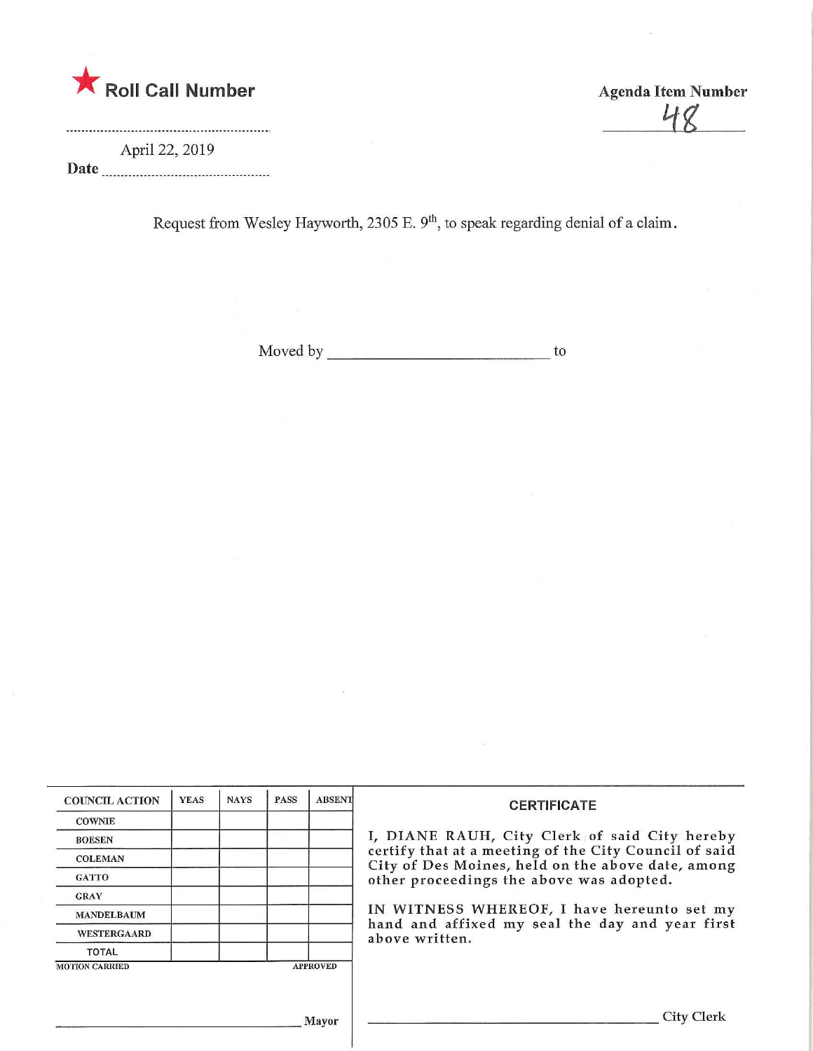

Agenda Item Number  $\frac{18}{16}$ 

April 22, 2019 Date

Request from Wesley Hayworth, 2305 E. 9<sup>th</sup>, to speak regarding denial of a claim.

Moved by to

| <b>COUNCIL ACTION</b> | <b>YEAS</b> | <b>NAYS</b> | <b>PASS</b> | <b>ABSENT</b>   | <b>CERTIFICATE</b>                                                                                         |
|-----------------------|-------------|-------------|-------------|-----------------|------------------------------------------------------------------------------------------------------------|
| <b>COWNIE</b>         |             |             |             |                 |                                                                                                            |
| <b>BOESEN</b>         |             |             |             |                 | I, DIANE RAUH, City Clerk of said City hereby                                                              |
| <b>COLEMAN</b>        |             |             |             |                 | certify that at a meeting of the City Council of said<br>City of Des Moines, held on the above date, among |
| <b>GATTO</b>          |             |             |             |                 | other proceedings the above was adopted.                                                                   |
| <b>GRAY</b>           |             |             |             |                 |                                                                                                            |
| <b>MANDELBAUM</b>     |             |             |             |                 | IN WITNESS WHEREOF, I have hereunto set my<br>hand and affixed my seal the day and year first              |
| <b>WESTERGAARD</b>    |             |             |             |                 | above written.                                                                                             |
| <b>TOTAL</b>          |             |             |             |                 |                                                                                                            |
| <b>MOTION CARRIED</b> |             |             |             | <b>APPROVED</b> |                                                                                                            |
|                       |             |             |             |                 |                                                                                                            |
|                       |             |             |             |                 |                                                                                                            |
|                       |             |             |             | Mayor           | City Clerk                                                                                                 |

,1 layor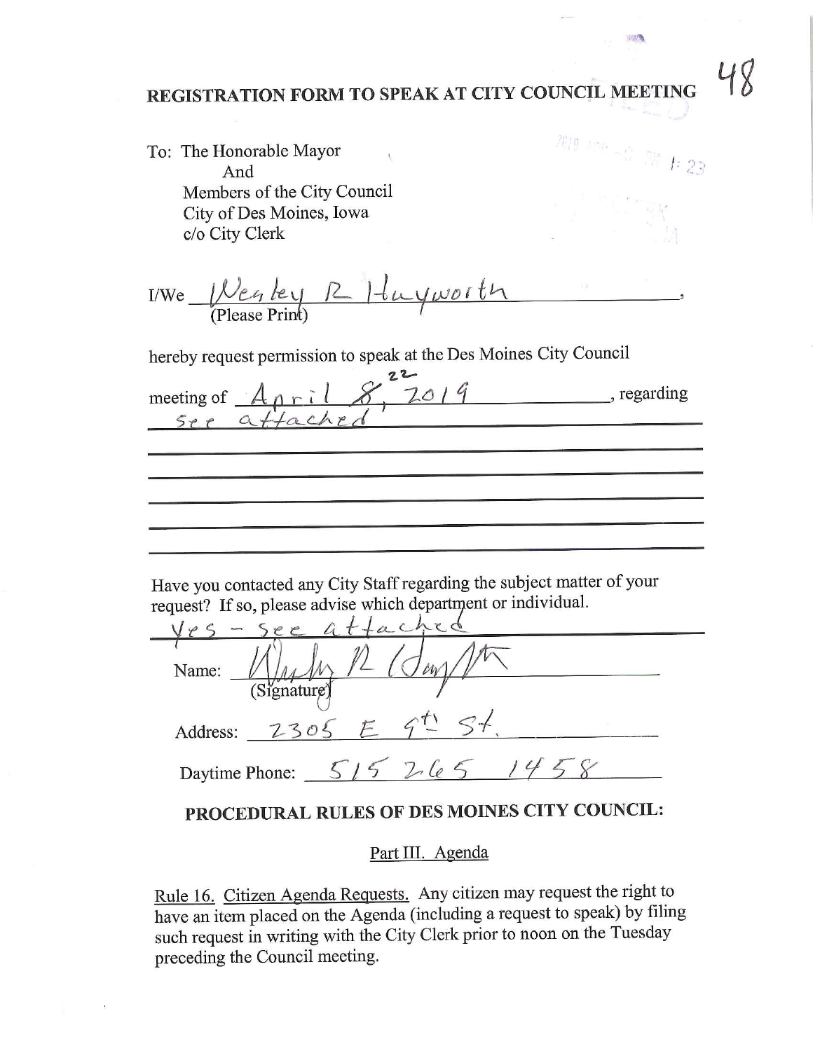## REGISTRATION FORM TO SPEAK AT CITY COUNCIL MEETING

| To: The Honorable Mayor<br>And<br>Members of the City Council<br>City of Des Moines, Iowa<br>c/o City Clerk                                               | $2019$ After $-$ C. For $f: 23$ |
|-----------------------------------------------------------------------------------------------------------------------------------------------------------|---------------------------------|
| I/We $\frac{1}{2}$ (Please Print) $\frac{1}{4}$ $\frac{1}{4}$ $\frac{1}{4}$ $\frac{1}{4}$ $\frac{1}{4}$ $\frac{1}{4}$                                     |                                 |
| hereby request permission to speak at the Des Moines City Council                                                                                         |                                 |
| meeting of <u>April 8, 2019</u> , regarding<br>See affacted                                                                                               |                                 |
|                                                                                                                                                           |                                 |
|                                                                                                                                                           |                                 |
|                                                                                                                                                           |                                 |
| Have you contacted any City Staff regarding the subject matter of your<br>request? If so, please advise which department or individual.<br>- see attached |                                 |
| $\sigma_{\text{av}}$<br>Name:<br>(Signature                                                                                                               |                                 |
| Address: 2305 E 9 <sup>t</sup> St                                                                                                                         |                                 |
| Daytime Phone: $515$ $265$ $1458$                                                                                                                         |                                 |
| PROCEDURAL RULES OF DES MOINES CITY COUNCIL:                                                                                                              |                                 |

## Part III. Agenda

Rule 16. Citizen Agenda Requests. Any citizen may request the right to have an item placed on the Agenda (including a request to speak) by filing such request in writing with the City Clerk prior to noon on the Tuesday preceding the Council meeting,

48

中部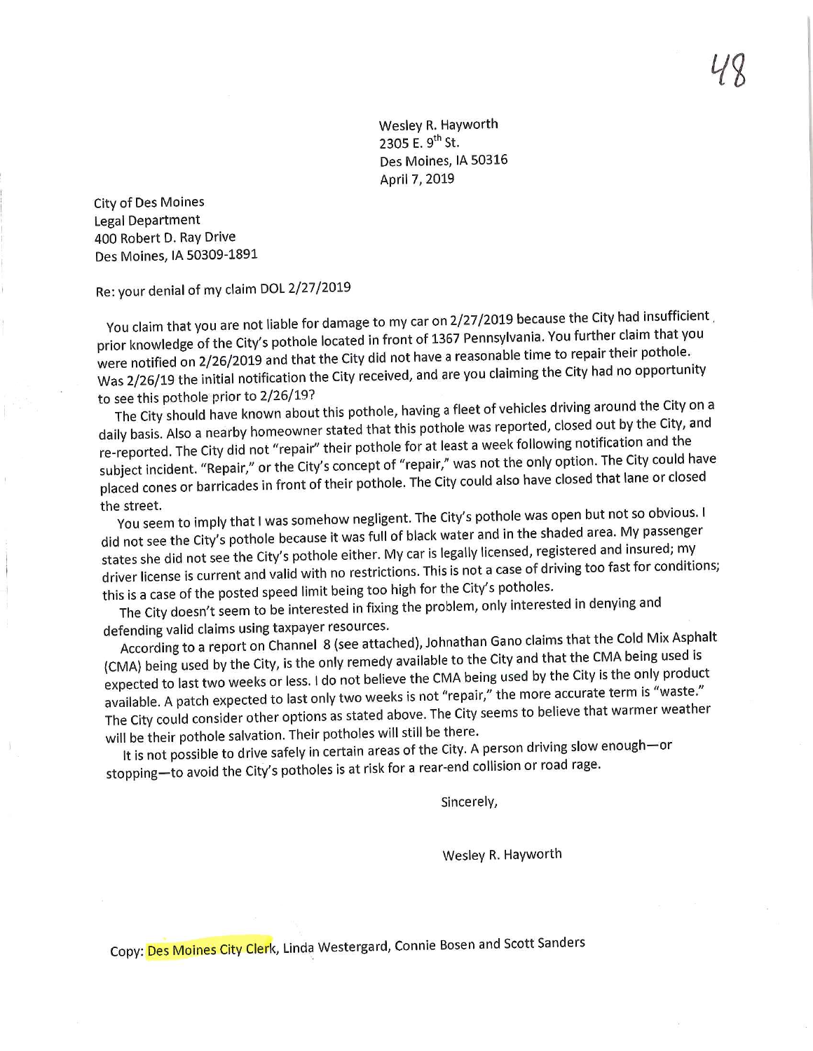Wesley R. Hayworth<br>2305 E. 9<sup>th</sup> St. 2305 E. 9th St. 9th St. 9th St. 9th St. 9th St. 9th St. 9th St. 9th St. 9th St. 9th St. 9th St. 9th St. 9th St<br>2305 E. 9th St. 9th St. 9th St. 9th St. 9th St. 9th St. 9th St. 9th St. 9th St. 9th St. 9th St. 9th St. 9th St des Montes Jacques Jacques Jacques Jacques Jacques Jacques Jacques Jacques Jacques Jacques Jacques Jacques Jacques Jacques Jacques Jacques Jacques Jacques Jacques Jacques Jacques Jacques Jacques Jacques Jacques Jacques Jac  $\cdots$ , 2019

City of Des Moines Legal Department 400 Robert D. Ray Drive Des Moines, IA 50309-1891

Re: your denial of my claim DOL 2/27/2019

You claim that you are not liable for damage to my car on 2/27/2019 because the City had insufficient prior knowledge of the City's pothole located in front of 1367 Pennsylvania. You further claim that you were notified on 2/26/2019 and that the City did not have a reasonable time to repair their pothole. we notified on 2/26/2019 and that the City did not have a reasonable fits had no opportunity  $\frac{d}{dx}$  2/26/19 the initial notification the City received/ and are  $\frac{d}{dx}$ 

to see this pothole prior to 2/26/19?<br>The City should have known about this pothole, having a fleet of vehicles driving around the City on a daily basis. Also a nearby homeowner stated that this pothole was reported, closed out by the City, and re-reported. The City did not "repair" their pothole for at least a week following notification and the subject incident. "Repair," or the City's concept of "repair," was not the only option. The City could have ibject incident. "Repair," or the City's concept of "repair only also have closed that lane or closed placed cones or barricades in front of their pothole. The City could also have closed that lane or closed

the street.<br>You seem to imply that I was somehow negligent. The City's pothole was open but not so obvious. I did not see the City's pothole because it was full of black water and in the shaded area. My passenger states she did not see the City's pothole either. My car is legally licensed, registered and insured; my ates she did not see the City's pothole extended and is not a case of driving too fast for condition driver license is current and valid with no restrictions. This is not a case of driving too fast for a case of  $\alpha$ 

this is a case of the posted speed limit being too high for the city only interest.  $T_{\text{eff}}$  doesn't seem to be interested in fixing the problem,  $\frac{1}{2}$ 

defending valid claims using taxpayer resources.<br>According to a report on Channel 8 (see attached), Johnathan Gano claims that the Cold Mix Asphalt (CMA) being used by the City, is the only remedy available to the City and that the CMA being used is expected to last two weeks or less. I do not believe the CMA being used by the City is the only product available. A patch expected to last only two weeks is not "repair," the more accurate term is "waste." valiable. A patch expected to last only the ware weeks is not "repair of the second to believe that warmer weather The City could consider other options as stated above. The City seems to be the City seems to be that was the city seems to be that was the considered that was a stated warmer weather weather was a stated warm of the consi

will be their pothole salvation. Their potholes will still be there.<br>It is not possible to drive safely in certain areas of the City. A person driving slow enough—or It is not possible to drive safely in certain areas of the City. A personal collision or road rage  $topning$ —to avoid the City's potholes is at risk for a rear-

Since the Since of the Since of the Since<br>Since the Since of the Since of the Since of the Since of the Since of the Since of the Since of the Since of<br>Since of the Since of the Since of the Since of the Since of the Since

Wesley R. Hayworth Wesley R. Hayworth (1986)<br>Wesley R. Hayworth (1986)<br>Wesley R. Hayworth (1986)

Copy: Des Moines City Clerk, Linda Westergard, Connie Bosen and Scott Sanders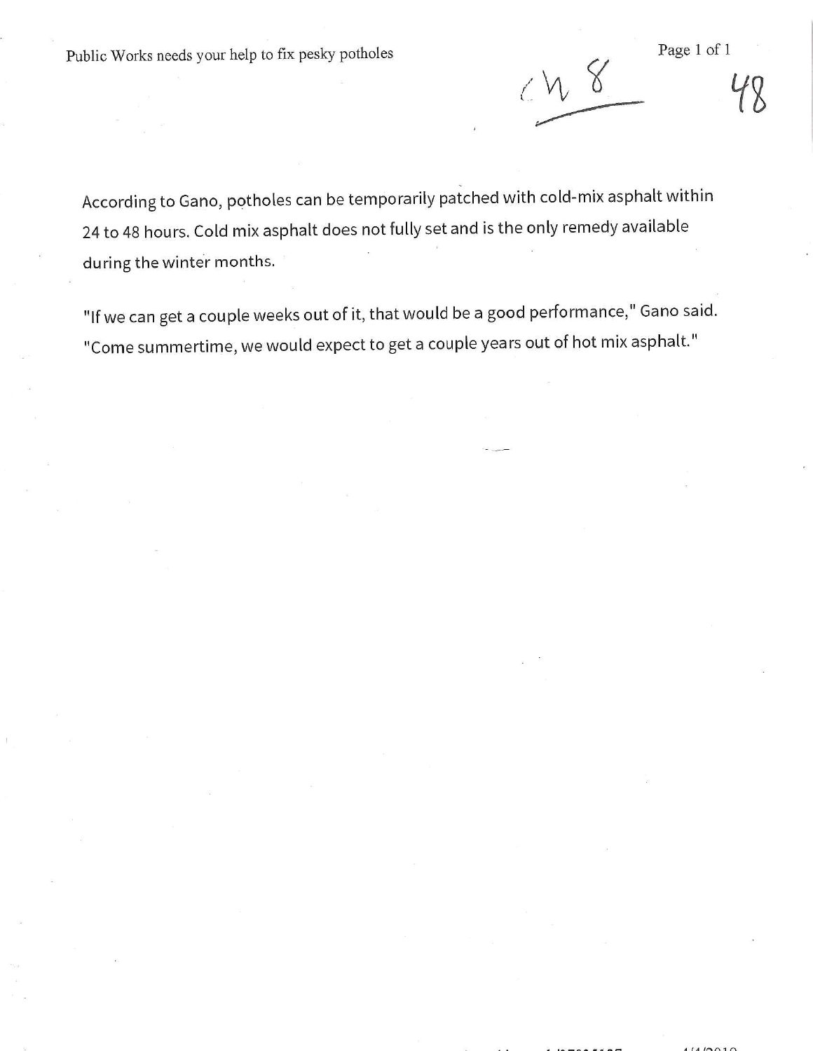Public Works needs your help to fix pesky potholes Page 1 of 1

 $\Delta$ 

According to Gano, potholes can be temporarily patched with cold-mix asphalt within 24 to 48 hours. Cold mix asphalt does not fully set and is the only remedy available during the winter months,

"If we can get a couple weeks out of it, that would be a good performance," Gano said. "Come summertime, we would expect to get a couple years out of hot mix asphalt."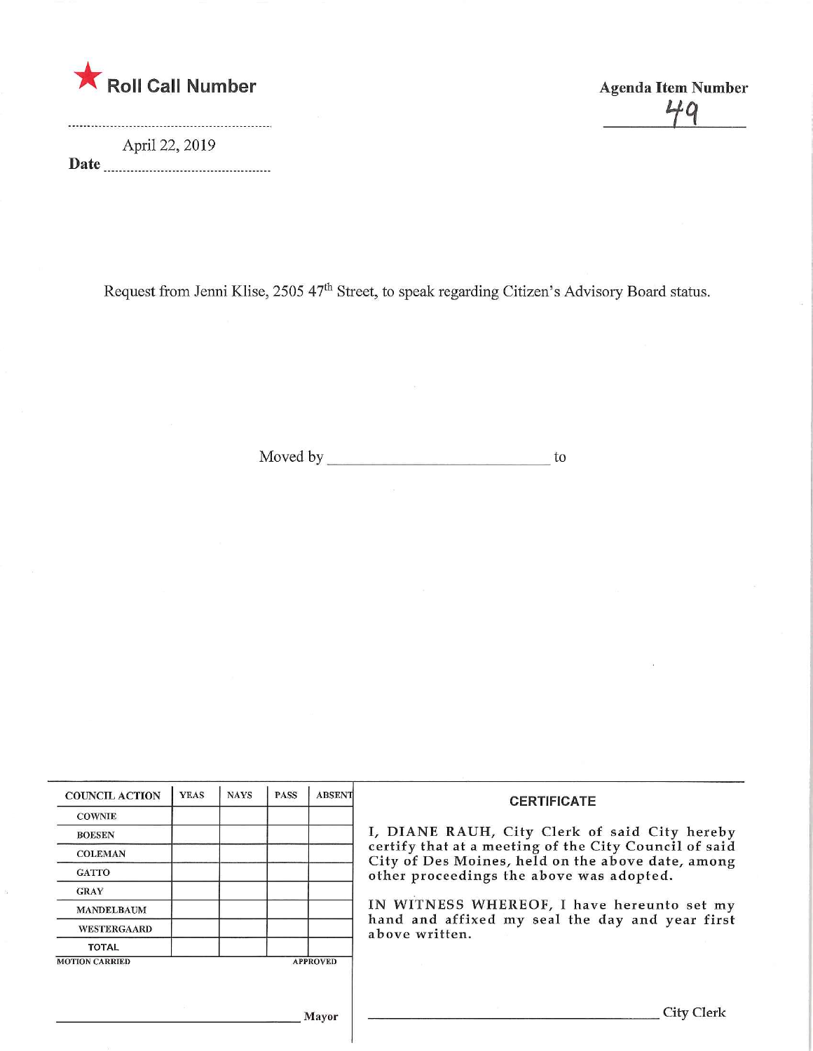

April 22,2019 Date Agenda Item Number  $40$ 

Request from Jenni Klise, 2505 47<sup>th</sup> Street, to speak regarding Citizen's Advisory Board status.

Moved by to to the contract of the contract of the contract of the contract of the contract of the contract of the contract of the contract of the contract of the contract of the contract of the contract of the contract of

|                       |  | <b>PASS</b> | <b>ABSENT</b>   | <b>CERTIFICATE</b>                                                                                                                                                                                      |
|-----------------------|--|-------------|-----------------|---------------------------------------------------------------------------------------------------------------------------------------------------------------------------------------------------------|
| <b>COWNIE</b>         |  |             |                 |                                                                                                                                                                                                         |
| <b>BOESEN</b>         |  |             |                 | I, DIANE RAUH, City Clerk of said City hereby<br>certify that at a meeting of the City Council of said<br>City of Des Moines, held on the above date, among<br>other proceedings the above was adopted. |
| <b>COLEMAN</b>        |  |             |                 |                                                                                                                                                                                                         |
| <b>GATTO</b>          |  |             |                 |                                                                                                                                                                                                         |
| <b>GRAY</b>           |  |             |                 |                                                                                                                                                                                                         |
| <b>MANDELBAUM</b>     |  |             |                 | IN WITNESS WHEREOF, I have hereunto set my                                                                                                                                                              |
| <b>WESTERGAARD</b>    |  |             |                 | hand and affixed my seal the day and year first<br>above written.                                                                                                                                       |
| TOTAL                 |  |             |                 |                                                                                                                                                                                                         |
| <b>MOTION CARRIED</b> |  |             | <b>APPROVED</b> |                                                                                                                                                                                                         |